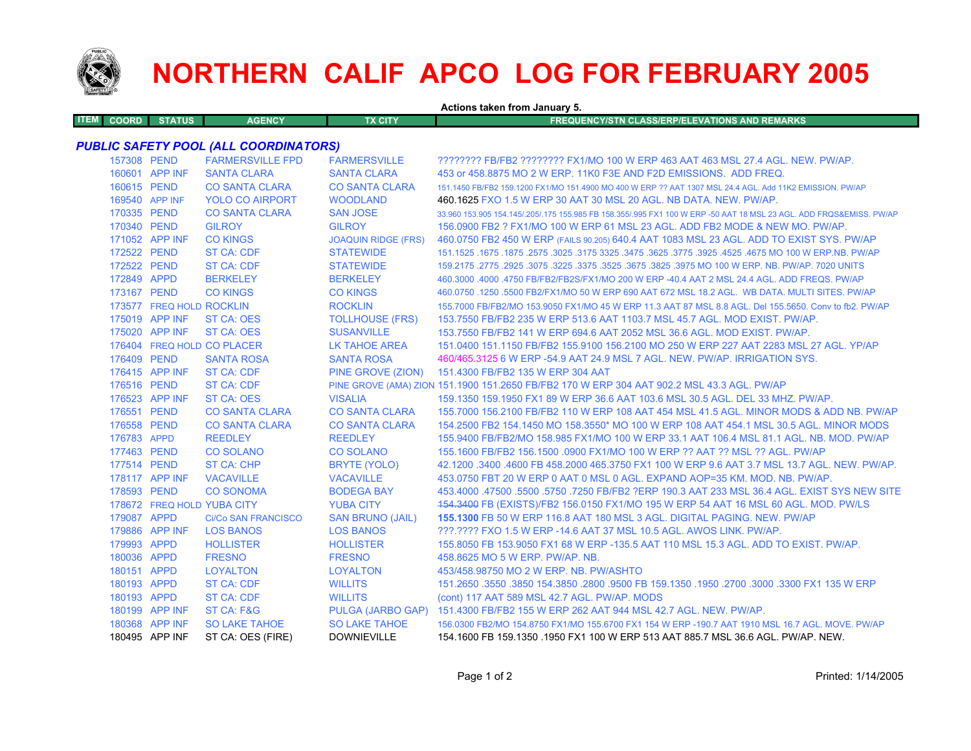

## **NORTHERN CALIF APCO LOG FOR FEBRUARY 2005**

| Actions taken from January 5. |                          |                                              |                            |                                                                                                                     |  |  |
|-------------------------------|--------------------------|----------------------------------------------|----------------------------|---------------------------------------------------------------------------------------------------------------------|--|--|
| <b>ITEM</b><br><b>COORD</b>   | <b>STATUS</b>            | <b>AGENCY</b>                                | <b>TX CITY</b>             | <b>FREQUENCY/STN CLASS/ERP/ELEVATIONS AND REMARKS</b>                                                               |  |  |
|                               |                          |                                              |                            |                                                                                                                     |  |  |
|                               |                          | <b>PUBLIC SAFETY POOL (ALL COORDINATORS)</b> |                            |                                                                                                                     |  |  |
|                               | 157308 PEND              | <b>FARMERSVILLE FPD</b>                      | <b>FARMERSVILLE</b>        | ???????? FB/FB2 ???????? FX1/MO 100 W ERP 463 AAT 463 MSL 27.4 AGL. NEW. PW/AP.                                     |  |  |
|                               | 160601 APP INF           | <b>SANTA CLARA</b>                           | <b>SANTA CLARA</b>         | 453 or 458,8875 MO 2 W ERP, 11K0 F3E AND F2D EMISSIONS. ADD FREQ.                                                   |  |  |
|                               | 160615 PEND              | <b>CO SANTA CLARA</b>                        | <b>CO SANTA CLARA</b>      | 151.1450 FB/FB2 159.1200 FX1/MO 151.4900 MO 400 W ERP ?? AAT 1307 MSL 24.4 AGL. Add 11K2 EMISSION. PW/AP            |  |  |
|                               | 169540 APP INF           | <b>YOLO CO AIRPORT</b>                       | <b>WOODLAND</b>            | 460.1625 FXO 1.5 W ERP 30 AAT 30 MSL 20 AGL. NB DATA. NEW. PW/AP.                                                   |  |  |
|                               | 170335 PEND              | <b>CO SANTA CLARA</b>                        | <b>SAN JOSE</b>            | 33.960 153.905 154.145/.205/.175 155.985 FB 158.355/.995 FX1 100 W ERP -50 AAT 18 MSL 23 AGL. ADD FRQS&EMISS. PW/AP |  |  |
|                               | 170340 PEND              | <b>GILROY</b>                                | <b>GILROY</b>              | 156,0900 FB2 ? FX1/MO 100 W ERP 61 MSL 23 AGL, ADD FB2 MODE & NEW MO, PW/AP.                                        |  |  |
|                               | 171052 APP INF           | <b>CO KINGS</b>                              | <b>JOAQUIN RIDGE (FRS)</b> | 460.0750 FB2 450 W ERP (FAILS 90.205) 640.4 AAT 1083 MSL 23 AGL. ADD TO EXIST SYS. PW/AP                            |  |  |
| 172522 PEND                   |                          | <b>ST CA: CDF</b>                            | <b>STATEWIDE</b>           | 151.1525 .1675 MO 100 W ERP.NB. PW/AP .2575 .3625 .3475 .3475 .3625 .3475 .3625 .3025 .1675 .1675 .1675 .1675       |  |  |
|                               | 172522 PEND              | <b>ST CA: CDF</b>                            | <b>STATEWIDE</b>           | 159,2175,2775,2925,3075,3225,3375,3525,3675,3825,3975 MO 100 W ERP, NB, PW/AP, 7020 UNITS                           |  |  |
| 172849 APPD                   |                          | <b>BERKELEY</b>                              | <b>BERKELEY</b>            | 460,3000,4000,4750 FB/FB2/FB2S/FX1/MO 200 W ERP -40.4 AAT 2 MSL 24.4 AGL, ADD FREQS, PW/AP                          |  |  |
| 173167 PEND                   |                          | <b>CO KINGS</b>                              | <b>CO KINGS</b>            | 460.0750 .1250 .5500 FB2/FX1/MO 50 W ERP 690 AAT 672 MSL 18.2 AGL. WB DATA. MULTI SITES. PW/AP                      |  |  |
|                               | 173577 FREQ HOLD ROCKLIN |                                              | <b>ROCKLIN</b>             | 155.7000 FB/FB2/MO 153.9050 FX1/MO 45 W ERP 11.3 AAT 87 MSL 8.8 AGL. Del 155.5650. Conv to fb2. PW/AP               |  |  |
|                               | 175019 APP INF           | <b>ST CA: OES</b>                            | <b>TOLLHOUSE (FRS)</b>     | 153.7550 FB/FB2 235 W ERP 513.6 AAT 1103.7 MSL 45.7 AGL, MOD EXIST, PW/AP.                                          |  |  |
|                               | 175020 APP INF           | <b>ST CA: OES</b>                            | <b>SUSANVILLE</b>          | 153.7550 FB/FB2 141 W ERP 694.6 AAT 2052 MSL 36.6 AGL. MOD EXIST. PW/AP.                                            |  |  |
|                               |                          | 176404 FREQ HOLD CO PLACER                   | <b>LK TAHOE AREA</b>       | 151.0400 151.1150 FB/FB2 155.9100 156.2100 MO 250 W ERP 227 AAT 2283 MSL 27 AGL. YP/AP                              |  |  |
| 176409 PEND                   |                          | <b>SANTA ROSA</b>                            | <b>SANTA ROSA</b>          | 460/465.3125 6 W ERP -54.9 AAT 24.9 MSL 7 AGL, NEW, PW/AP, IRRIGATION SYS.                                          |  |  |
|                               | 176415 APP INF           | <b>ST CA: CDF</b>                            | PINE GROVE (ZION)          | 151.4300 FB/FB2 135 W ERP 304 AAT                                                                                   |  |  |
|                               | 176516 PEND              | <b>ST CA: CDF</b>                            |                            | PINE GROVE (AMA) ZION 151.1900 151.2650 FB/FB2 170 W ERP 304 AAT 902.2 MSL 43.3 AGL. PW/AP                          |  |  |
|                               | 176523 APP INF           | <b>ST CA: OES</b>                            | <b>VISALIA</b>             | 159.1350 159.1950 FX1 89 W ERP 36.6 AAT 103.6 MSL 30.5 AGL. DEL 33 MHZ. PW/AP.                                      |  |  |
| 176551 PEND                   |                          | <b>CO SANTA CLARA</b>                        | <b>CO SANTA CLARA</b>      | 155,7000 156,2100 FB/FB2 110 W ERP 108 AAT 454 MSL 41.5 AGL, MINOR MODS & ADD NB, PW/AP                             |  |  |
| 176558 PEND                   |                          | <b>CO SANTA CLARA</b>                        | <b>CO SANTA CLARA</b>      | 154.2500 FB2 154.1450 MO 158.3550* MO 100 W ERP 108 AAT 454.1 MSL 30.5 AGL. MINOR MODS                              |  |  |
| 176783 APPD                   |                          | <b>REEDLEY</b>                               | <b>REEDLEY</b>             | 155,9400 FB/FB2/MO 158,985 FX1/MO 100 W ERP 33.1 AAT 106.4 MSL 81.1 AGL, NB, MOD, PW/AP                             |  |  |
| 177463 PEND                   |                          | <b>CO SOLANO</b>                             | <b>CO SOLANO</b>           | 155.1600 FB/FB2 156.1500 .0900 FX1/MO 100 W ERP ?? AAT ?? MSL ?? AGL, PW/AP                                         |  |  |
|                               | 177514 PEND              | ST CA: CHP                                   | BRYTE (YOLO)               | 42.1200 .3400 .4600 FB 458.2000 465.3750 FX1 100 W ERP 9.6 AAT 3.7 MSL 13.7 AGL. NEW. PW/AP.                        |  |  |
|                               | 178117 APP INF           | <b>VACAVILLE</b>                             | <b>VACAVILLE</b>           | 453.0750 FBT 20 W ERP 0 AAT 0 MSL 0 AGL. EXPAND AOP=35 KM. MOD. NB. PW/AP.                                          |  |  |
| 178593 PEND                   |                          | <b>CO SONOMA</b>                             | <b>BODEGA BAY</b>          | 453,4000 .47500 .5500 .5750 .7250 FB/FB2 ?ERP 190.3 AAT 233 MSL 36.4 AGL. EXIST SYS NEW SITE                        |  |  |
|                               |                          | 178672 FREQ HOLD YUBA CITY                   | <b>YUBA CITY</b>           | 154.3400 FB (EXISTS)/FB2 156.0150 FX1/MO 195 W ERP 54 AAT 16 MSL 60 AGL. MOD. PW/LS                                 |  |  |
| 179087 APPD                   |                          | <b>Ci/Co SAN FRANCISCO</b>                   | <b>SAN BRUNO (JAIL)</b>    | <b>155.1300 FB 50 W ERP 116.8 AAT 180 MSL 3 AGL. DIGITAL PAGING, NEW, PW/AP</b>                                     |  |  |
|                               | 179886 APP INF           | <b>LOS BANOS</b>                             | <b>LOS BANOS</b>           | ???.???? FXO 1.5 W ERP -14.6 AAT 37 MSL 10.5 AGL. AWOS LINK. PW/AP.                                                 |  |  |
| 179993 APPD                   |                          | <b>HOLLISTER</b>                             | <b>HOLLISTER</b>           | 155.8050 FB 153.9050 FX1 68 W ERP -135.5 AAT 110 MSL 15.3 AGL. ADD TO EXIST, PW/AP.                                 |  |  |
| 180036 APPD                   |                          | <b>FRESNO</b>                                | <b>FRESNO</b>              | 458,8625 MO 5 W ERP. PW/AP. NB.                                                                                     |  |  |
| 180151 APPD                   |                          | <b>LOYALTON</b>                              | <b>LOYALTON</b>            | 453/458.98750 MO 2 W ERP. NB. PW/ASHTO                                                                              |  |  |
| 180193 APPD                   |                          | <b>ST CA: CDF</b>                            | <b>WILLITS</b>             | 151.2650 .3550 .3850 154.3850 .2800 .9500 FB 159.1350 .1950 .2700 .3000 .3300 FX1 135 W ERP                         |  |  |
| 180193 APPD                   |                          | <b>ST CA: CDF</b>                            | <b>WILLITS</b>             | (cont) 117 AAT 589 MSL 42.7 AGL. PW/AP. MODS                                                                        |  |  |
|                               | 180199 APP INF           | ST CA: F&G                                   |                            | PULGA (JARBO GAP) 151.4300 FB/FB2 155 W ERP 262 AAT 944 MSL 42.7 AGL. NEW. PW/AP.                                   |  |  |
|                               | 180368 APP INF           | <b>SO LAKE TAHOE</b>                         | <b>SO LAKE TAHOE</b>       | 156.0300 FB2/MO 154.8750 FX1/MO 155.6700 FX1 154 W ERP -190.7 AAT 1910 MSL 16.7 AGL. MOVE. PW/AP                    |  |  |
|                               | 180495 APP INF           | ST CA: OES (FIRE)                            | <b>DOWNIEVILLE</b>         | 154.1600 FB 159.1350 .1950 FX1 100 W ERP 513 AAT 885.7 MSL 36.6 AGL. PW/AP. NEW.                                    |  |  |